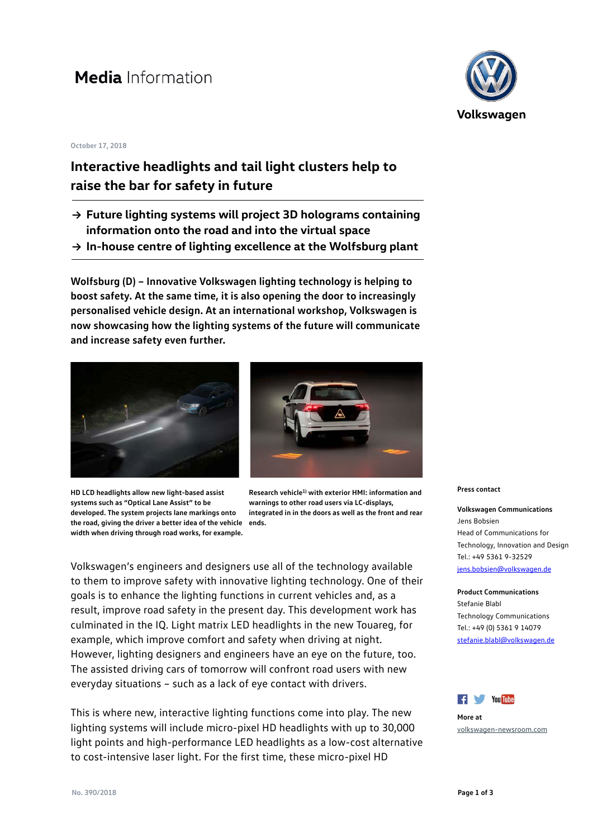# **Media** Information

#### **October 17, 2018**

### **Interactive headlights and tail light clusters help to raise the bar for safety in future**

- **→ Future lighting systems will project 3D holograms containing information onto the road and into the virtual space**
- **→ In-house centre of lighting excellence at the Wolfsburg plant**

**Wolfsburg (D) – Innovative Volkswagen lighting technology is helping to boost safety. At the same time, it is also opening the door to increasingly personalised vehicle design. At an international workshop, Volkswagen is now showcasing how the lighting systems of the future will communicate and increase safety even further.**



**HD LCD headlights allow new light-based assist systems such as "Optical Lane Assist" to be developed. The system projects lane markings onto the road, giving the driver a better idea of the vehicle ends.width when driving through road works, for example.**



**Research vehicle1) with exterior HMI: information and warnings to other road users via LC-displays, integrated in in the doors as well as the front and rear** 

Volkswagen's engineers and designers use all of the technology available to them to improve safety with innovative lighting technology. One of their goals is to enhance the lighting functions in current vehicles and, as a result, improve road safety in the present day. This development work has culminated in the IQ. Light matrix LED headlights in the new Touareg, for example, which improve comfort and safety when driving at night. However, lighting designers and engineers have an eye on the future, too. The assisted driving cars of tomorrow will confront road users with new everyday situations – such as a lack of eye contact with drivers.

This is where new, interactive lighting functions come into play. The new lighting systems will include micro-pixel HD headlights with up to 30,000 light points and high-performance LED headlights as a low-cost alternative to cost-intensive laser light. For the first time, these micro-pixel HD



**Press contact**

**Volkswagen Communications** Jens Bobsien Head of Communications for Technology, Innovation and Design  $Tel: +4953619-32529$ 

[jens.bobsien@volkswagen.de](mailto:jens.bobsien@volkswagen.de)

**Product Communications** Stefanie Blabl Technology Communications Tel.: +49 (0) 5361 9 14079 [stefanie.blabl@volkswagen.de](mailto:stefanie.blabl@volkswagen.de)



**More at** [volkswagen-newsroom.com](https://www.volkswagen-newsroom.com/)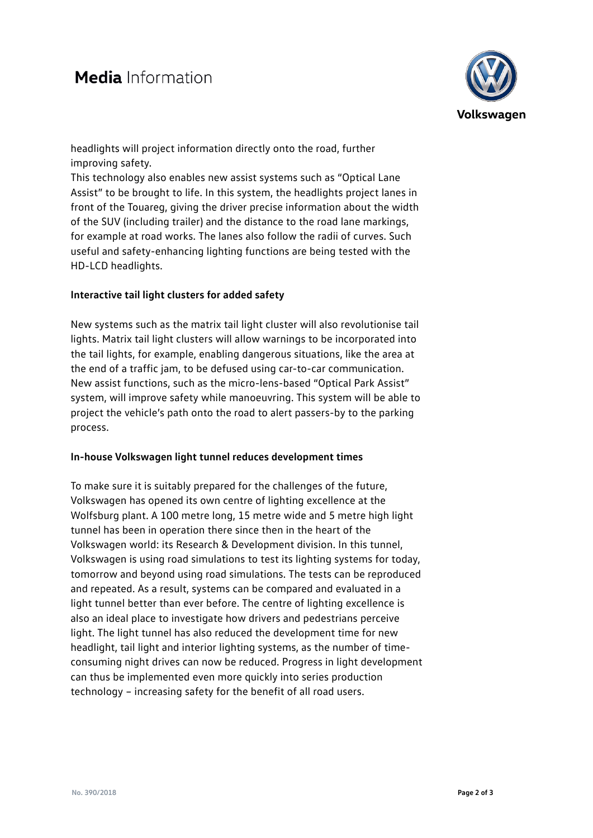

headlights will project information directly onto the road, further improving safety.

This technology also enables new assist systems such as "Optical Lane Assist" to be brought to life. In this system, the headlights project lanes in front of the Touareg, giving the driver precise information about the width of the SUV (including trailer) and the distance to the road lane markings, for example at road works. The lanes also follow the radii of curves. Such useful and safety-enhancing lighting functions are being tested with the HD-LCD headlights.

### **Interactive tail light clusters for added safety**

New systems such as the matrix tail light cluster will also revolutionise tail lights. Matrix tail light clusters will allow warnings to be incorporated into the tail lights, for example, enabling dangerous situations, like the area at the end of a traffic jam, to be defused using car-to-car communication. New assist functions, such as the micro-lens-based "Optical Park Assist" system, will improve safety while manoeuvring. This system will be able to project the vehicle's path onto the road to alert passers-by to the parking process.

### **In-house Volkswagen light tunnel reduces development times**

To make sure it is suitably prepared for the challenges of the future, Volkswagen has opened its own centre of lighting excellence at the Wolfsburg plant. A 100 metre long, 15 metre wide and 5 metre high light tunnel has been in operation there since then in the heart of the Volkswagen world: its Research & Development division. In this tunnel, Volkswagen is using road simulations to test its lighting systems for today, tomorrow and beyond using road simulations. The tests can be reproduced and repeated. As a result, systems can be compared and evaluated in a light tunnel better than ever before. The centre of lighting excellence is also an ideal place to investigate how drivers and pedestrians perceive light. The light tunnel has also reduced the development time for new headlight, tail light and interior lighting systems, as the number of timeconsuming night drives can now be reduced. Progress in light development can thus be implemented even more quickly into series production technology – increasing safety for the benefit of all road users.